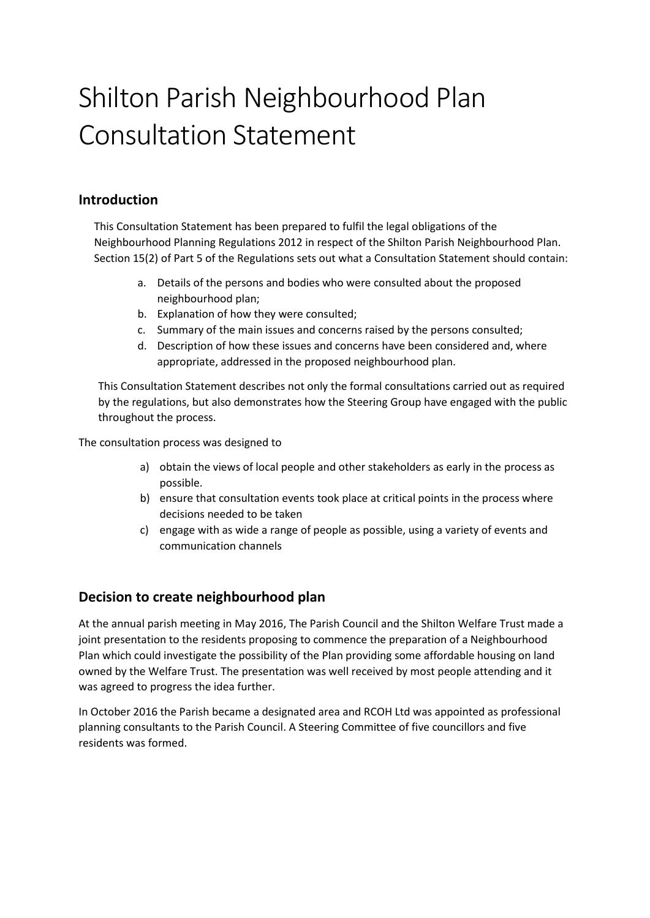# Shilton Parish Neighbourhood Plan Consultation Statement

# **Introduction**

This Consultation Statement has been prepared to fulfil the legal obligations of the Neighbourhood Planning Regulations 2012 in respect of the Shilton Parish Neighbourhood Plan. Section 15(2) of Part 5 of the Regulations sets out what a Consultation Statement should contain:

- a. Details of the persons and bodies who were consulted about the proposed neighbourhood plan;
- b. Explanation of how they were consulted;
- c. Summary of the main issues and concerns raised by the persons consulted;
- d. Description of how these issues and concerns have been considered and, where appropriate, addressed in the proposed neighbourhood plan.

This Consultation Statement describes not only the formal consultations carried out as required by the regulations, but also demonstrates how the Steering Group have engaged with the public throughout the process.

The consultation process was designed to

- a) obtain the views of local people and other stakeholders as early in the process as possible.
- b) ensure that consultation events took place at critical points in the process where decisions needed to be taken
- c) engage with as wide a range of people as possible, using a variety of events and communication channels

# **Decision to create neighbourhood plan**

At the annual parish meeting in May 2016, The Parish Council and the Shilton Welfare Trust made a joint presentation to the residents proposing to commence the preparation of a Neighbourhood Plan which could investigate the possibility of the Plan providing some affordable housing on land owned by the Welfare Trust. The presentation was well received by most people attending and it was agreed to progress the idea further.

In October 2016 the Parish became a designated area and RCOH Ltd was appointed as professional planning consultants to the Parish Council. A Steering Committee of five councillors and five residents was formed.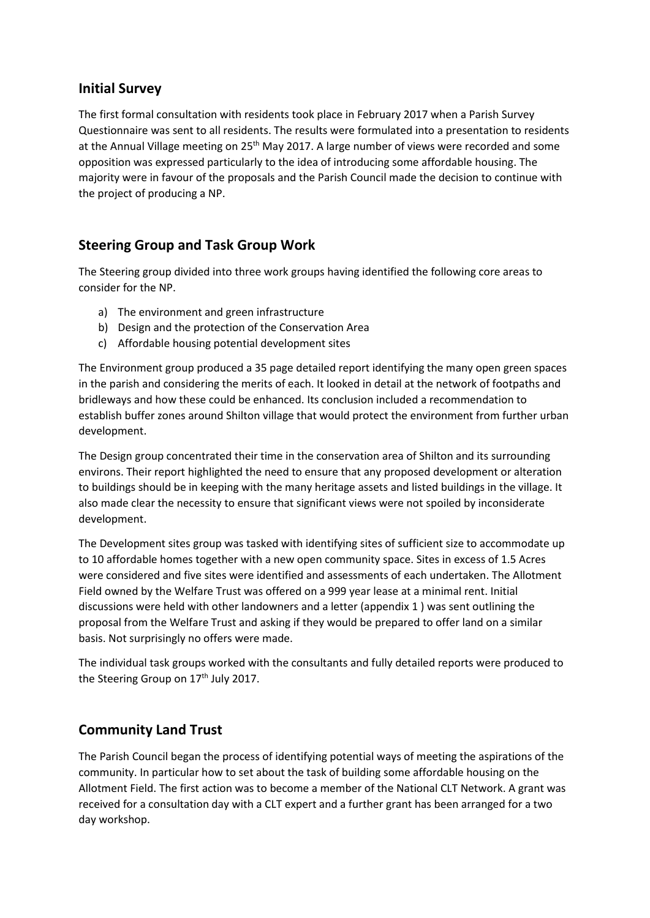# **Initial Survey**

The first formal consultation with residents took place in February 2017 when a Parish Survey Questionnaire was sent to all residents. The results were formulated into a presentation to residents at the Annual Village meeting on 25<sup>th</sup> May 2017. A large number of views were recorded and some opposition was expressed particularly to the idea of introducing some affordable housing. The majority were in favour of the proposals and the Parish Council made the decision to continue with the project of producing a NP.

# **Steering Group and Task Group Work**

The Steering group divided into three work groups having identified the following core areas to consider for the NP.

- a) The environment and green infrastructure
- b) Design and the protection of the Conservation Area
- c) Affordable housing potential development sites

The Environment group produced a 35 page detailed report identifying the many open green spaces in the parish and considering the merits of each. It looked in detail at the network of footpaths and bridleways and how these could be enhanced. Its conclusion included a recommendation to establish buffer zones around Shilton village that would protect the environment from further urban development.

The Design group concentrated their time in the conservation area of Shilton and its surrounding environs. Their report highlighted the need to ensure that any proposed development or alteration to buildings should be in keeping with the many heritage assets and listed buildings in the village. It also made clear the necessity to ensure that significant views were not spoiled by inconsiderate development.

The Development sites group was tasked with identifying sites of sufficient size to accommodate up to 10 affordable homes together with a new open community space. Sites in excess of 1.5 Acres were considered and five sites were identified and assessments of each undertaken. The Allotment Field owned by the Welfare Trust was offered on a 999 year lease at a minimal rent. Initial discussions were held with other landowners and a letter (appendix 1 ) was sent outlining the proposal from the Welfare Trust and asking if they would be prepared to offer land on a similar basis. Not surprisingly no offers were made.

The individual task groups worked with the consultants and fully detailed reports were produced to the Steering Group on 17<sup>th</sup> July 2017.

# **Community Land Trust**

The Parish Council began the process of identifying potential ways of meeting the aspirations of the community. In particular how to set about the task of building some affordable housing on the Allotment Field. The first action was to become a member of the National CLT Network. A grant was received for a consultation day with a CLT expert and a further grant has been arranged for a two day workshop.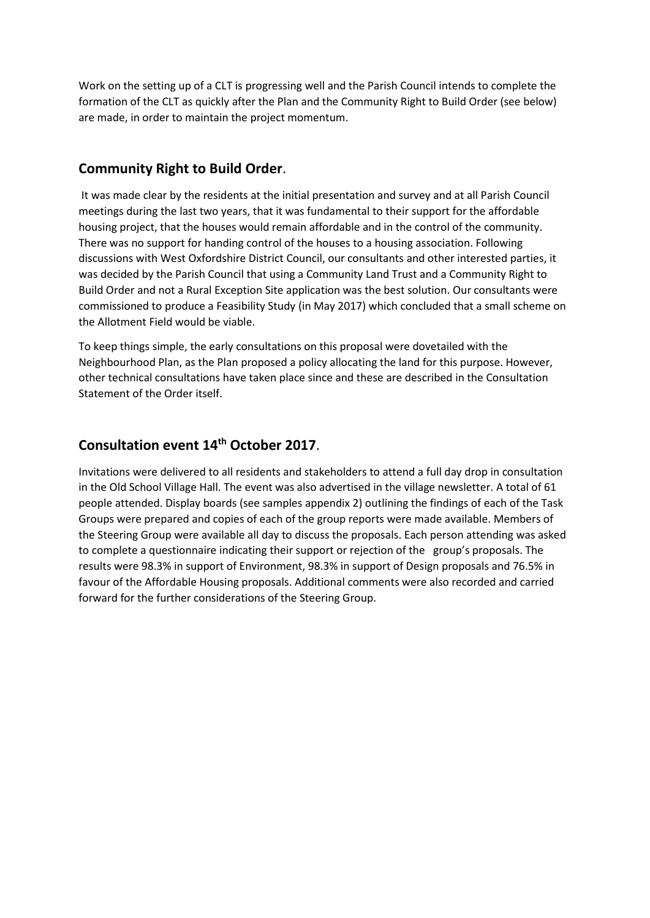Work on the setting up of a CLT is progressing well and the Parish Council intends to complete the formation of the CLT as quickly after the Plan and the Community Right to Build Order (see below) are made, in order to maintain the project momentum.

### **Community Right to Build Order**.

It was made clear by the residents at the initial presentation and survey and at all Parish Council meetings during the last two years, that it was fundamental to their support for the affordable housing project, that the houses would remain affordable and in the control of the community. There was no support for handing control of the houses to a housing association. Following discussions with West Oxfordshire District Council, our consultants and other interested parties, it was decided by the Parish Council that using a Community Land Trust and a Community Right to Build Order and not a Rural Exception Site application was the best solution. Our consultants were commissioned to produce a Feasibility Study (in May 2017) which concluded that a small scheme on the Allotment Field would be viable.

To keep things simple, the early consultations on this proposal were dovetailed with the Neighbourhood Plan, as the Plan proposed a policy allocating the land for this purpose. However, other technical consultations have taken place since and these are described in the Consultation Statement of the Order itself.

#### **Consultation event 14th October 2017**.

Invitations were delivered to all residents and stakeholders to attend a full day drop in consultation in the Old School Village Hall. The event was also advertised in the village newsletter. A total of 61 people attended. Display boards (see samples appendix 2) outlining the findings of each of the Task Groups were prepared and copies of each of the group reports were made available. Members of the Steering Group were available all day to discuss the proposals. Each person attending was asked to complete a questionnaire indicating their support or rejection of the group's proposals. The results were 98.3% in support of Environment, 98.3% in support of Design proposals and 76.5% in favour of the Affordable Housing proposals. Additional comments were also recorded and carried forward for the further considerations of the Steering Group.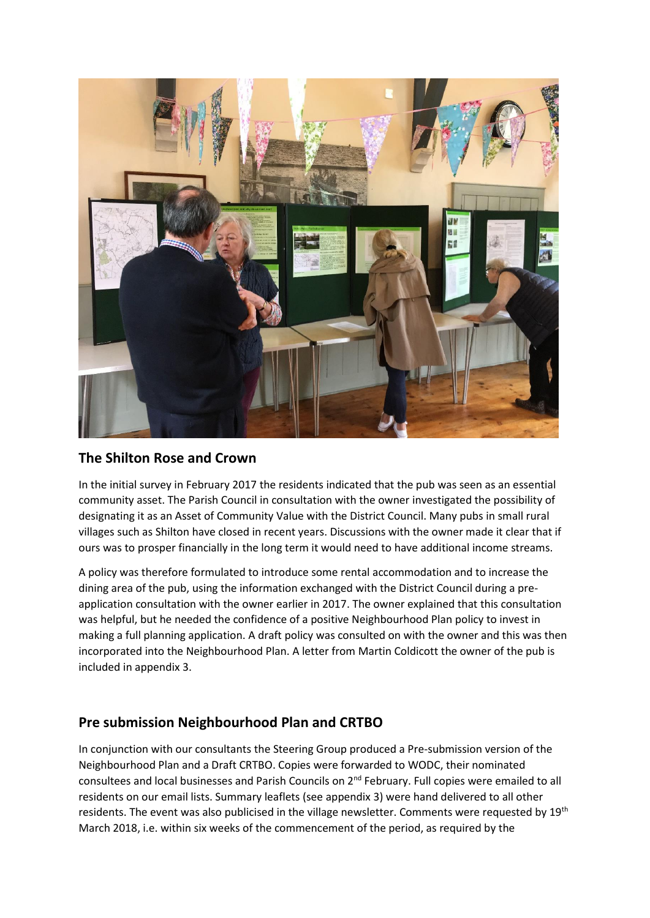

# **The Shilton Rose and Crown**

In the initial survey in February 2017 the residents indicated that the pub was seen as an essential community asset. The Parish Council in consultation with the owner investigated the possibility of designating it as an Asset of Community Value with the District Council. Many pubs in small rural villages such as Shilton have closed in recent years. Discussions with the owner made it clear that if ours was to prosper financially in the long term it would need to have additional income streams.

A policy was therefore formulated to introduce some rental accommodation and to increase the dining area of the pub, using the information exchanged with the District Council during a preapplication consultation with the owner earlier in 2017. The owner explained that this consultation was helpful, but he needed the confidence of a positive Neighbourhood Plan policy to invest in making a full planning application. A draft policy was consulted on with the owner and this was then incorporated into the Neighbourhood Plan. A letter from Martin Coldicott the owner of the pub is included in appendix 3.

# **Pre submission Neighbourhood Plan and CRTBO**

In conjunction with our consultants the Steering Group produced a Pre-submission version of the Neighbourhood Plan and a Draft CRTBO. Copies were forwarded to WODC, their nominated consultees and local businesses and Parish Councils on 2nd February. Full copies were emailed to all residents on our email lists. Summary leaflets (see appendix 3) were hand delivered to all other residents. The event was also publicised in the village newsletter. Comments were requested by 19<sup>th</sup> March 2018, i.e. within six weeks of the commencement of the period, as required by the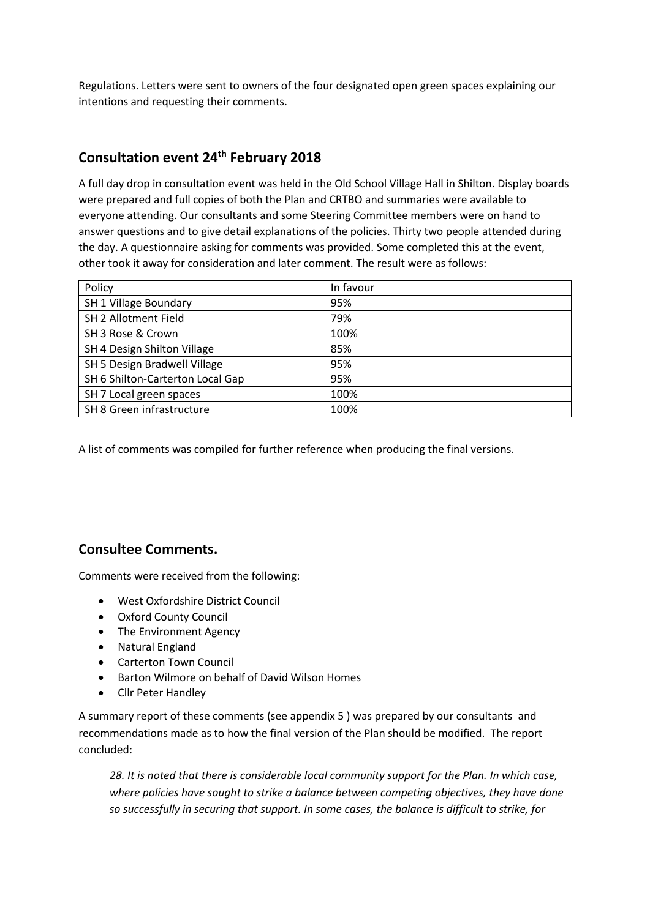Regulations. Letters were sent to owners of the four designated open green spaces explaining our intentions and requesting their comments.

# **Consultation event 24th February 2018**

A full day drop in consultation event was held in the Old School Village Hall in Shilton. Display boards were prepared and full copies of both the Plan and CRTBO and summaries were available to everyone attending. Our consultants and some Steering Committee members were on hand to answer questions and to give detail explanations of the policies. Thirty two people attended during the day. A questionnaire asking for comments was provided. Some completed this at the event, other took it away for consideration and later comment. The result were as follows:

| Policy                           | In favour |
|----------------------------------|-----------|
| SH 1 Village Boundary            | 95%       |
| SH 2 Allotment Field             | 79%       |
| SH 3 Rose & Crown                | 100%      |
| SH 4 Design Shilton Village      | 85%       |
| SH 5 Design Bradwell Village     | 95%       |
| SH 6 Shilton-Carterton Local Gap | 95%       |
| SH 7 Local green spaces          | 100%      |
| SH 8 Green infrastructure        | 100%      |

A list of comments was compiled for further reference when producing the final versions.

# **Consultee Comments.**

Comments were received from the following:

- West Oxfordshire District Council
- Oxford County Council
- The Environment Agency
- Natural England
- Carterton Town Council
- Barton Wilmore on behalf of David Wilson Homes
- Cllr Peter Handley

A summary report of these comments (see appendix 5 ) was prepared by our consultants and recommendations made as to how the final version of the Plan should be modified. The report concluded:

*28. It is noted that there is considerable local community support for the Plan. In which case, where policies have sought to strike a balance between competing objectives, they have done so successfully in securing that support. In some cases, the balance is difficult to strike, for*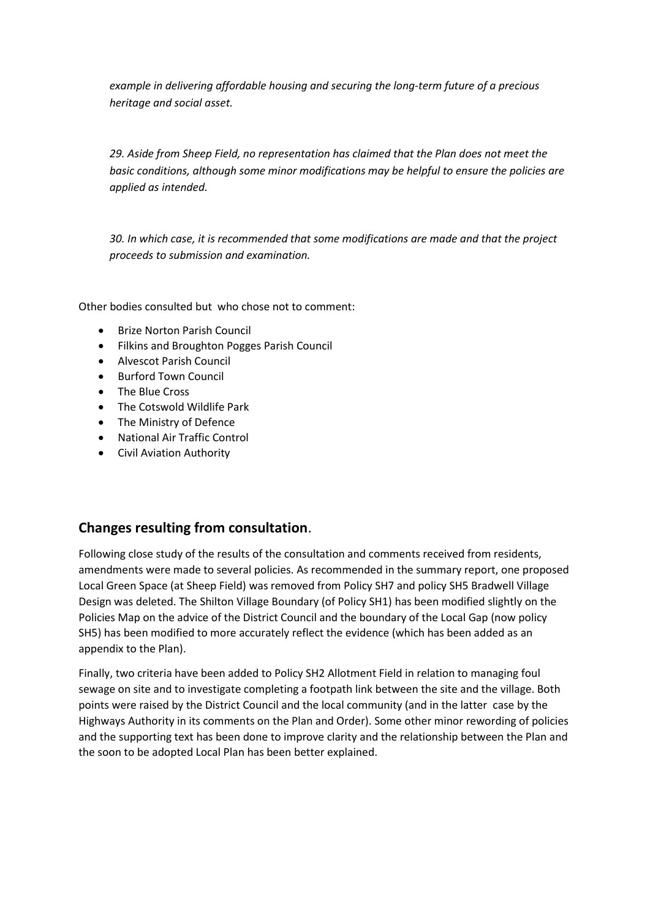*example in delivering affordable housing and securing the long-term future of a precious heritage and social asset.* 

*29. Aside from Sheep Field, no representation has claimed that the Plan does not meet the basic conditions, although some minor modifications may be helpful to ensure the policies are applied as intended.* 

*30. In which case, it is recommended that some modifications are made and that the project proceeds to submission and examination.*

Other bodies consulted but who chose not to comment:

- Brize Norton Parish Council
- Filkins and Broughton Pogges Parish Council
- Alvescot Parish Council
- Burford Town Council
- The Blue Cross
- The Cotswold Wildlife Park
- The Ministry of Defence
- National Air Traffic Control
- Civil Aviation Authority

#### **Changes resulting from consultation**.

Following close study of the results of the consultation and comments received from residents, amendments were made to several policies. As recommended in the summary report, one proposed Local Green Space (at Sheep Field) was removed from Policy SH7 and policy SH5 Bradwell Village Design was deleted. The Shilton Village Boundary (of Policy SH1) has been modified slightly on the Policies Map on the advice of the District Council and the boundary of the Local Gap (now policy SH5) has been modified to more accurately reflect the evidence (which has been added as an appendix to the Plan).

Finally, two criteria have been added to Policy SH2 Allotment Field in relation to managing foul sewage on site and to investigate completing a footpath link between the site and the village. Both points were raised by the District Council and the local community (and in the latter case by the Highways Authority in its comments on the Plan and Order). Some other minor rewording of policies and the supporting text has been done to improve clarity and the relationship between the Plan and the soon to be adopted Local Plan has been better explained.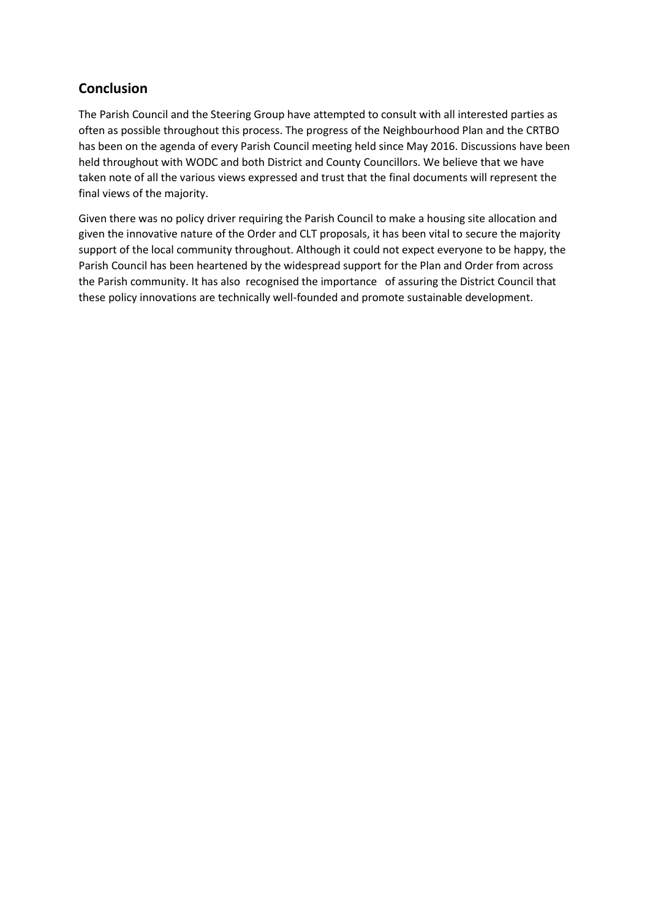# **Conclusion**

The Parish Council and the Steering Group have attempted to consult with all interested parties as often as possible throughout this process. The progress of the Neighbourhood Plan and the CRTBO has been on the agenda of every Parish Council meeting held since May 2016. Discussions have been held throughout with WODC and both District and County Councillors. We believe that we have taken note of all the various views expressed and trust that the final documents will represent the final views of the majority.

Given there was no policy driver requiring the Parish Council to make a housing site allocation and given the innovative nature of the Order and CLT proposals, it has been vital to secure the majority support of the local community throughout. Although it could not expect everyone to be happy, the Parish Council has been heartened by the widespread support for the Plan and Order from across the Parish community. It has also recognised the importance of assuring the District Council that these policy innovations are technically well-founded and promote sustainable development.